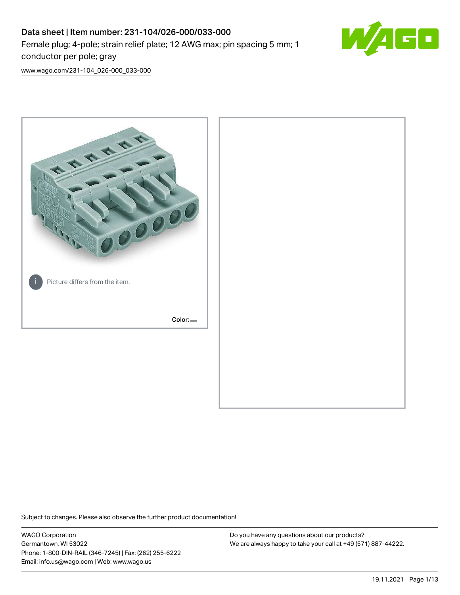# Data sheet | Item number: 231-104/026-000/033-000 Female plug; 4-pole; strain relief plate; 12 AWG max; pin spacing 5 mm; 1 conductor per pole; gray



[www.wago.com/231-104\\_026-000\\_033-000](http://www.wago.com/231-104_026-000_033-000)



Subject to changes. Please also observe the further product documentation!

WAGO Corporation Germantown, WI 53022 Phone: 1-800-DIN-RAIL (346-7245) | Fax: (262) 255-6222 Email: info.us@wago.com | Web: www.wago.us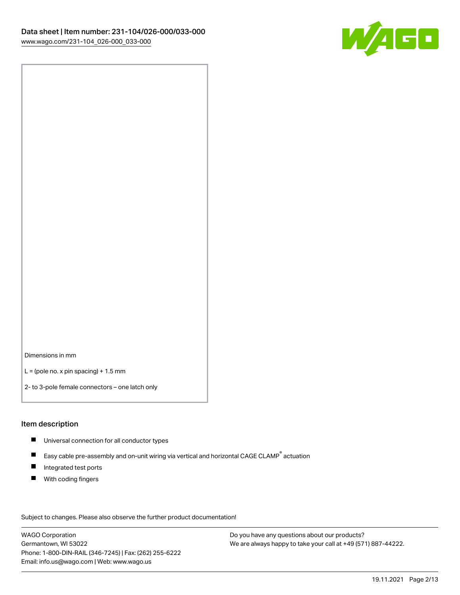

Dimensions in mm

 $L =$  (pole no. x pin spacing) + 1.5 mm

2- to 3-pole female connectors – one latch only

#### Item description

- **Universal connection for all conductor types**
- Easy cable pre-assembly and on-unit wiring via vertical and horizontal CAGE CLAMP<sup>®</sup> actuation  $\blacksquare$
- $\blacksquare$ Integrated test ports
- $\blacksquare$ With coding fingers

Subject to changes. Please also observe the further product documentation! Data

WAGO Corporation Germantown, WI 53022 Phone: 1-800-DIN-RAIL (346-7245) | Fax: (262) 255-6222 Email: info.us@wago.com | Web: www.wago.us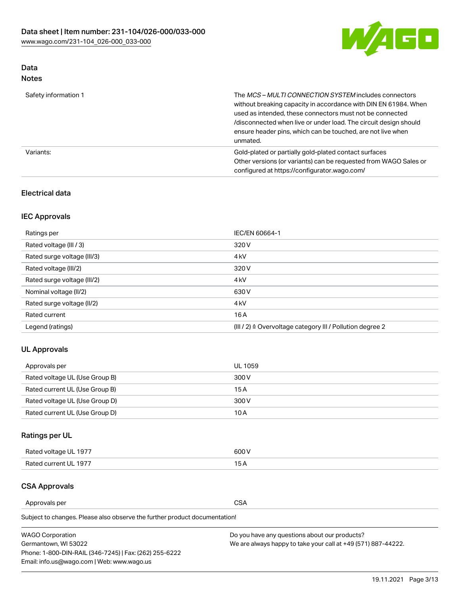

# Data

| Note |
|------|
|------|

| Safety information 1 | The MCS-MULTI CONNECTION SYSTEM includes connectors<br>without breaking capacity in accordance with DIN EN 61984. When<br>used as intended, these connectors must not be connected<br>/disconnected when live or under load. The circuit design should<br>ensure header pins, which can be touched, are not live when<br>unmated. |
|----------------------|-----------------------------------------------------------------------------------------------------------------------------------------------------------------------------------------------------------------------------------------------------------------------------------------------------------------------------------|
| Variants:            | Gold-plated or partially gold-plated contact surfaces<br>Other versions (or variants) can be requested from WAGO Sales or<br>configured at https://configurator.wago.com/                                                                                                                                                         |

## Electrical data

# IEC Approvals

| Ratings per                 | IEC/EN 60664-1                                                        |
|-----------------------------|-----------------------------------------------------------------------|
| Rated voltage (III / 3)     | 320 V                                                                 |
| Rated surge voltage (III/3) | 4 <sub>k</sub> V                                                      |
| Rated voltage (III/2)       | 320 V                                                                 |
| Rated surge voltage (III/2) | 4 <sub>k</sub> V                                                      |
| Nominal voltage (II/2)      | 630 V                                                                 |
| Rated surge voltage (II/2)  | 4 <sub>k</sub> V                                                      |
| Rated current               | 16A                                                                   |
| Legend (ratings)            | $(III / 2)$ $\triangle$ Overvoltage category III / Pollution degree 2 |

## UL Approvals

| Approvals per                  | UL 1059 |
|--------------------------------|---------|
| Rated voltage UL (Use Group B) | 300 V   |
| Rated current UL (Use Group B) | 15 A    |
| Rated voltage UL (Use Group D) | 300 V   |
| Rated current UL (Use Group D) | 10 A    |

# Ratings per UL

| Rated voltage UL 1977 | 300 V |
|-----------------------|-------|
| Rated current UL 1977 |       |

## CSA Approvals

Approvals per CSA

| <b>WAGO Corporation</b>                                | Do you have any questions about our products?                 |
|--------------------------------------------------------|---------------------------------------------------------------|
| Germantown, WI 53022                                   | We are always happy to take your call at +49 (571) 887-44222. |
| Phone: 1-800-DIN-RAIL (346-7245)   Fax: (262) 255-6222 |                                                               |
| Email: info.us@wago.com   Web: www.wago.us             |                                                               |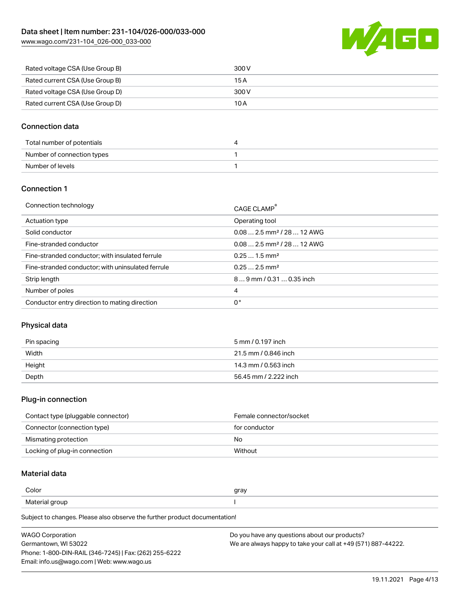

| Rated voltage CSA (Use Group B) | 300 V |
|---------------------------------|-------|
| Rated current CSA (Use Group B) | 15 A  |
| Rated voltage CSA (Use Group D) | 300 V |
| Rated current CSA (Use Group D) | 10 A  |

## Connection data

| Total number of potentials |  |
|----------------------------|--|
| Number of connection types |  |
| Number of levels           |  |

#### Connection 1

| Connection technology                             | CAGE CLAMP                             |
|---------------------------------------------------|----------------------------------------|
| Actuation type                                    | Operating tool                         |
| Solid conductor                                   | $0.082.5$ mm <sup>2</sup> / 28  12 AWG |
| Fine-stranded conductor                           | $0.082.5$ mm <sup>2</sup> / 28  12 AWG |
| Fine-stranded conductor; with insulated ferrule   | $0.251.5$ mm <sup>2</sup>              |
| Fine-stranded conductor; with uninsulated ferrule | $0.252.5$ mm <sup>2</sup>              |
| Strip length                                      | $89$ mm / 0.31  0.35 inch              |
| Number of poles                                   | 4                                      |
| Conductor entry direction to mating direction     | 0°                                     |

#### Physical data

| Pin spacing | 5 mm / 0.197 inch     |
|-------------|-----------------------|
| Width       | 21.5 mm / 0.846 inch  |
| Height      | 14.3 mm / 0.563 inch  |
| Depth       | 56.45 mm / 2.222 inch |

#### Plug-in connection

| Contact type (pluggable connector) | Female connector/socket |
|------------------------------------|-------------------------|
| Connector (connection type)        | for conductor           |
| Mismating protection               | No                      |
| Locking of plug-in connection      | Without                 |

# Material data

| Color          | gray |
|----------------|------|
| Material group |      |

| <b>WAGO Corporation</b>                                | Do you have any questions about our products?                 |
|--------------------------------------------------------|---------------------------------------------------------------|
| Germantown, WI 53022                                   | We are always happy to take your call at +49 (571) 887-44222. |
| Phone: 1-800-DIN-RAIL (346-7245)   Fax: (262) 255-6222 |                                                               |
| Email: info.us@wago.com   Web: www.wago.us             |                                                               |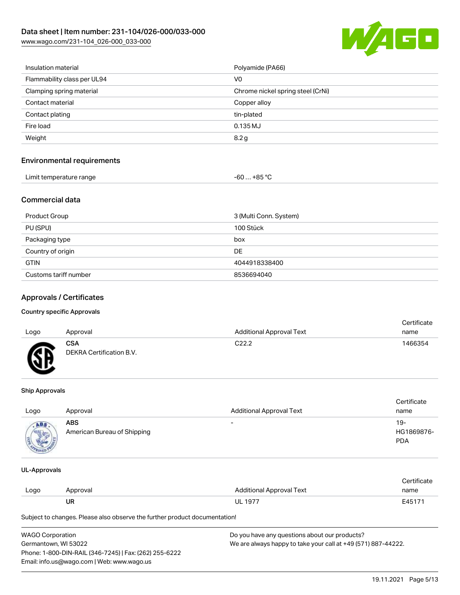

| Insulation material         | Polyamide (PA66)                  |
|-----------------------------|-----------------------------------|
| Flammability class per UL94 | V <sub>0</sub>                    |
| Clamping spring material    | Chrome nickel spring steel (CrNi) |
| Contact material            | Copper alloy                      |
| Contact plating             | tin-plated                        |
| Fire load                   | $0.135$ MJ                        |
| Weight                      | 8.2 g                             |
|                             |                                   |

#### Environmental requirements

| Limit temperature range | . +85 °Ր<br>-60 |  |
|-------------------------|-----------------|--|

#### Commercial data

| <b>Product Group</b>  | 3 (Multi Conn. System) |
|-----------------------|------------------------|
| PU (SPU)              | 100 Stück              |
| Packaging type        | box                    |
| Country of origin     | DE                     |
| <b>GTIN</b>           | 4044918338400          |
| Customs tariff number | 8536694040             |

## Approvals / Certificates

#### Country specific Approvals

|      |                          |                                 | Certificate |
|------|--------------------------|---------------------------------|-------------|
| Logo | Approval                 | <b>Additional Approval Text</b> | name        |
|      | <b>CSA</b>               | C22.2                           | 1466354     |
| Æ    | DEKRA Certification B.V. |                                 |             |
|      |                          |                                 |             |

#### Ship Approvals

| Logo        | Approval                                  | <b>Additional Approval Text</b> | Certificate<br>name             |
|-------------|-------------------------------------------|---------------------------------|---------------------------------|
| ABS<br>のいしゃ | <b>ABS</b><br>American Bureau of Shipping | $\overline{\phantom{0}}$        | 19-<br>HG1869876-<br><b>PDA</b> |

#### UL-Approvals

|      |          |                          | Certificate |
|------|----------|--------------------------|-------------|
| Logo | Approval | Additional Approval Text | name        |
|      | UR       | <b>UL 1977</b>           | E45171      |

| <b>WAGO Corporation</b>                                | Do you have any questions about our products?                 |
|--------------------------------------------------------|---------------------------------------------------------------|
| Germantown. WI 53022                                   | We are always happy to take your call at +49 (571) 887-44222. |
| Phone: 1-800-DIN-RAIL (346-7245)   Fax: (262) 255-6222 |                                                               |
| Email: info.us@wago.com   Web: www.wago.us             |                                                               |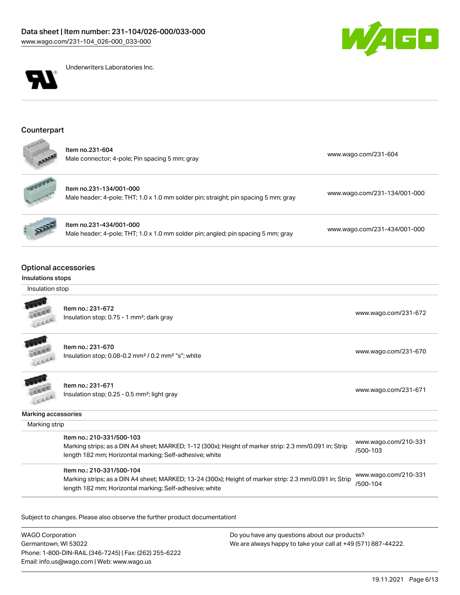



Underwriters Laboratories Inc.

#### **Counterpart**

| ltem no.231-604<br>Male connector; 4-pole; Pin spacing 5 mm; gray | www.wago.com/231-604 |
|-------------------------------------------------------------------|----------------------|
|                                                                   |                      |



Item no.231-134/001-000 Male header; 4-pole; THT; 1.0 x 1.0 mm solder pin; straight; pin spacing 5 mm; gray [www.wago.com/231-134/001-000](https://www.wago.com/231-134/001-000)

| ltem no.231-434/001-000                                                           |  |
|-----------------------------------------------------------------------------------|--|
| Male header; 4-pole; THT; 1.0 x 1.0 mm solder pin; angled; pin spacing 5 mm; gray |  |

[www.wago.com/231-434/001-000](https://www.wago.com/231-434/001-000)

#### Optional accessories

#### Insulations stops

Insulation stop



Item no.: 231-672 Insulation stop; 0.75 - 1 mm²; dark gray [www.wago.com/231-672](http://www.wago.com/231-672)<br>Insulation stop; 0.75 - 1 mm²; dark gray

Item no.: 231-670 Insulation stop; 0.08-0.2 mm<sup>2</sup>/0.2 mm<sup>2</sup> "s"; white [www.wago.com/231-670](http://www.wago.com/231-670) www.wago.com/231-670



**ALLES** LEEEE

> Item no.: 231-671 Insulation stop; 0.25 - 0.5 mm²; light gray [www.wago.com/231-671](http://www.wago.com/231-671) www.wago.com/231-671

Marking accessories

Marking strip

| Item no.: 210-331/500-103                                                                              | www.wago.com/210-331 |
|--------------------------------------------------------------------------------------------------------|----------------------|
| Marking strips; as a DIN A4 sheet; MARKED; 1-12 (300x); Height of marker strip: 2.3 mm/0.091 in; Strip | /500-103             |
| length 182 mm; Horizontal marking; Self-adhesive; white                                                |                      |

Item no.: 210-331/500-104

Marking strips; as a DIN A4 sheet; MARKED; 13-24 (300x); Height of marker strip: 2.3 mm/0.091 in; Strip length 182 mm; Horizontal marking; Self-adhesive; white [www.wago.com/210-331](http://www.wago.com/210-331/500-104) [/500-104](http://www.wago.com/210-331/500-104)

Subject to changes. Please also observe the further product documentation!

WAGO Corporation Germantown, WI 53022 Phone: 1-800-DIN-RAIL (346-7245) | Fax: (262) 255-6222 Email: info.us@wago.com | Web: www.wago.us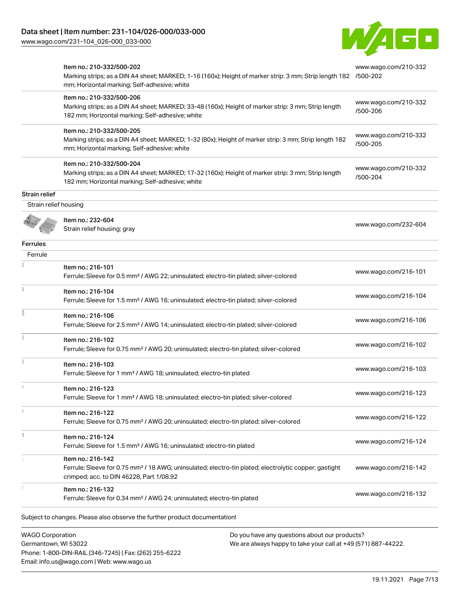[www.wago.com/231-104\\_026-000\\_033-000](http://www.wago.com/231-104_026-000_033-000)



|                                                                          | Item no.: 210-332/500-202<br>Marking strips; as a DIN A4 sheet; MARKED; 1-16 (160x); Height of marker strip: 3 mm; Strip length 182 /500-202<br>mm; Horizontal marking; Self-adhesive; white | www.wago.com/210-332             |
|--------------------------------------------------------------------------|----------------------------------------------------------------------------------------------------------------------------------------------------------------------------------------------|----------------------------------|
|                                                                          | Item no.: 210-332/500-206<br>Marking strips; as a DIN A4 sheet; MARKED; 33-48 (160x); Height of marker strip: 3 mm; Strip length<br>182 mm; Horizontal marking; Self-adhesive; white         | www.wago.com/210-332<br>/500-206 |
|                                                                          | Item no.: 210-332/500-205<br>Marking strips; as a DIN A4 sheet; MARKED; 1-32 (80x); Height of marker strip: 3 mm; Strip length 182<br>mm; Horizontal marking; Self-adhesive; white           | www.wago.com/210-332<br>/500-205 |
|                                                                          | Item no.: 210-332/500-204<br>Marking strips; as a DIN A4 sheet; MARKED; 17-32 (160x); Height of marker strip: 3 mm; Strip length<br>182 mm; Horizontal marking; Self-adhesive; white         | www.wago.com/210-332<br>/500-204 |
| Strain relief                                                            |                                                                                                                                                                                              |                                  |
| Strain relief housing                                                    |                                                                                                                                                                                              |                                  |
|                                                                          | Item no.: 232-604<br>Strain relief housing; gray                                                                                                                                             | www.wago.com/232-604             |
| Ferrules                                                                 |                                                                                                                                                                                              |                                  |
| Ferrule                                                                  |                                                                                                                                                                                              |                                  |
|                                                                          | Item no.: 216-101<br>Ferrule; Sleeve for 0.5 mm <sup>2</sup> / AWG 22; uninsulated; electro-tin plated; silver-colored                                                                       | www.wago.com/216-101             |
|                                                                          | Item no.: 216-104<br>Ferrule; Sleeve for 1.5 mm <sup>2</sup> / AWG 16; uninsulated; electro-tin plated; silver-colored                                                                       | www.wago.com/216-104             |
|                                                                          | Item no.: 216-106<br>Ferrule; Sleeve for 2.5 mm <sup>2</sup> / AWG 14; uninsulated; electro-tin plated; silver-colored                                                                       | www.wago.com/216-106             |
|                                                                          | Item no.: 216-102<br>Ferrule; Sleeve for 0.75 mm <sup>2</sup> / AWG 20; uninsulated; electro-tin plated; silver-colored                                                                      | www.wago.com/216-102             |
|                                                                          | Item no.: 216-103<br>Ferrule; Sleeve for 1 mm <sup>2</sup> / AWG 18; uninsulated; electro-tin plated                                                                                         | www.wago.com/216-103             |
|                                                                          | Item no.: 216-123<br>Ferrule; Sleeve for 1 mm <sup>2</sup> / AWG 18; uninsulated; electro-tin plated; silver-colored                                                                         | www.wago.com/216-123             |
|                                                                          | Item no.: 216-122<br>Ferrule; Sleeve for 0.75 mm <sup>2</sup> / AWG 20; uninsulated; electro-tin plated; silver-colored                                                                      | www.wago.com/216-122             |
|                                                                          | Item no.: 216-124<br>Ferrule; Sleeve for 1.5 mm <sup>2</sup> / AWG 16; uninsulated; electro-tin plated                                                                                       | www.wago.com/216-124             |
|                                                                          | Item no.: 216-142<br>Ferrule; Sleeve for 0.75 mm <sup>2</sup> / 18 AWG; uninsulated; electro-tin plated; electrolytic copper; gastight<br>crimped; acc. to DIN 46228, Part 1/08.92           | www.wago.com/216-142             |
|                                                                          | Item no.: 216-132<br>Ferrule; Sleeve for 0.34 mm <sup>2</sup> / AWG 24; uninsulated; electro-tin plated                                                                                      | www.wago.com/216-132             |
|                                                                          | Subject to changes. Please also observe the further product documentation!                                                                                                                   |                                  |
| <b>WAGO Corporation</b><br>Do you have any questions about our products? |                                                                                                                                                                                              |                                  |

Germantown, WI 53022 Phone: 1-800-DIN-RAIL (346-7245) | Fax: (262) 255-6222 Email: info.us@wago.com | Web: www.wago.us

We are always happy to take your call at +49 (571) 887-44222.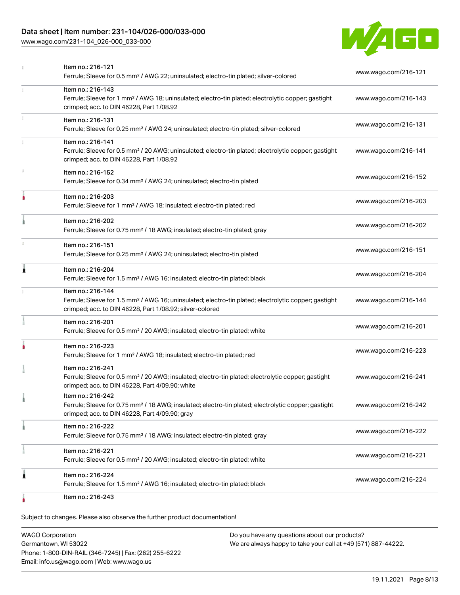## Data sheet | Item number: 231-104/026-000/033-000

[www.wago.com/231-104\\_026-000\\_033-000](http://www.wago.com/231-104_026-000_033-000)



|    | Item no.: 216-121<br>Ferrule; Sleeve for 0.5 mm <sup>2</sup> / AWG 22; uninsulated; electro-tin plated; silver-colored                                                                            | www.wago.com/216-121 |
|----|---------------------------------------------------------------------------------------------------------------------------------------------------------------------------------------------------|----------------------|
|    | Item no.: 216-143<br>Ferrule; Sleeve for 1 mm <sup>2</sup> / AWG 18; uninsulated; electro-tin plated; electrolytic copper; gastight<br>crimped; acc. to DIN 46228, Part 1/08.92                   | www.wago.com/216-143 |
| 1  | Item no.: 216-131<br>Ferrule; Sleeve for 0.25 mm <sup>2</sup> / AWG 24; uninsulated; electro-tin plated; silver-colored                                                                           | www.wago.com/216-131 |
|    | Item no.: 216-141<br>Ferrule; Sleeve for 0.5 mm <sup>2</sup> / 20 AWG; uninsulated; electro-tin plated; electrolytic copper; gastight<br>crimped; acc. to DIN 46228, Part 1/08.92                 | www.wago.com/216-141 |
| t. | Item no.: 216-152<br>Ferrule; Sleeve for 0.34 mm <sup>2</sup> / AWG 24; uninsulated; electro-tin plated                                                                                           | www.wago.com/216-152 |
| ۸  | Item no.: 216-203<br>Ferrule; Sleeve for 1 mm <sup>2</sup> / AWG 18; insulated; electro-tin plated; red                                                                                           | www.wago.com/216-203 |
|    | Item no.: 216-202<br>Ferrule; Sleeve for 0.75 mm <sup>2</sup> / 18 AWG; insulated; electro-tin plated; gray                                                                                       | www.wago.com/216-202 |
| ı  | Item no.: 216-151<br>Ferrule; Sleeve for 0.25 mm <sup>2</sup> / AWG 24; uninsulated; electro-tin plated                                                                                           | www.wago.com/216-151 |
| Â  | Item no.: 216-204<br>Ferrule; Sleeve for 1.5 mm <sup>2</sup> / AWG 16; insulated; electro-tin plated; black                                                                                       | www.wago.com/216-204 |
|    | Item no.: 216-144<br>Ferrule; Sleeve for 1.5 mm <sup>2</sup> / AWG 16; uninsulated; electro-tin plated; electrolytic copper; gastight<br>crimped; acc. to DIN 46228, Part 1/08.92; silver-colored | www.wago.com/216-144 |
|    | Item no.: 216-201<br>Ferrule; Sleeve for 0.5 mm <sup>2</sup> / 20 AWG; insulated; electro-tin plated; white                                                                                       | www.wago.com/216-201 |
|    | Item no.: 216-223<br>Ferrule; Sleeve for 1 mm <sup>2</sup> / AWG 18; insulated; electro-tin plated; red                                                                                           | www.wago.com/216-223 |
|    | Item no.: 216-241<br>Ferrule; Sleeve for 0.5 mm <sup>2</sup> / 20 AWG; insulated; electro-tin plated; electrolytic copper; gastight<br>crimped; acc. to DIN 46228, Part 4/09.90; white            | www.wago.com/216-241 |
|    | Item no.: 216-242<br>Ferrule; Sleeve for 0.75 mm <sup>2</sup> / 18 AWG; insulated; electro-tin plated; electrolytic copper; gastight<br>crimped; acc. to DIN 46228, Part 4/09.90; gray            | www.wago.com/216-242 |
|    | Item no.: 216-222<br>Ferrule; Sleeve for 0.75 mm <sup>2</sup> / 18 AWG; insulated; electro-tin plated; gray                                                                                       | www.wago.com/216-222 |
|    | Item no.: 216-221<br>Ferrule; Sleeve for 0.5 mm <sup>2</sup> / 20 AWG; insulated; electro-tin plated; white                                                                                       | www.wago.com/216-221 |
| 1  | Item no.: 216-224<br>Ferrule; Sleeve for 1.5 mm <sup>2</sup> / AWG 16; insulated; electro-tin plated; black                                                                                       | www.wago.com/216-224 |
|    | Item no.: 216-243                                                                                                                                                                                 |                      |

Subject to changes. Please also observe the further product documentation!

WAGO Corporation Germantown, WI 53022 Phone: 1-800-DIN-RAIL (346-7245) | Fax: (262) 255-6222 Email: info.us@wago.com | Web: www.wago.us Do you have any questions about our products? We are always happy to take your call at +49 (571) 887-44222.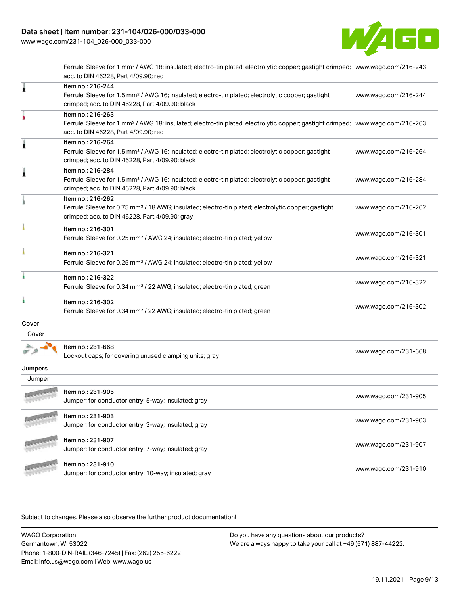

Ferrule; Sleeve for 1 mm² / AWG 18; insulated; electro-tin plated; electrolytic copper; gastight crimped; [www.wago.com/216-243](http://www.wago.com/216-243) acc. to DIN 46228, Part 4/09.90; red

| 1       | Item no.: 216-244<br>Ferrule; Sleeve for 1.5 mm <sup>2</sup> / AWG 16; insulated; electro-tin plated; electrolytic copper; gastight<br>crimped; acc. to DIN 46228, Part 4/09.90; black                  | www.wago.com/216-244 |
|---------|---------------------------------------------------------------------------------------------------------------------------------------------------------------------------------------------------------|----------------------|
|         | Item no.: 216-263<br>Ferrule; Sleeve for 1 mm <sup>2</sup> / AWG 18; insulated; electro-tin plated; electrolytic copper; gastight crimped; www.wago.com/216-263<br>acc. to DIN 46228, Part 4/09.90; red |                      |
| 1       | Item no.: 216-264<br>Ferrule; Sleeve for 1.5 mm <sup>2</sup> / AWG 16; insulated; electro-tin plated; electrolytic copper; gastight<br>crimped; acc. to DIN 46228, Part 4/09.90; black                  | www.wago.com/216-264 |
|         | Item no.: 216-284<br>Ferrule; Sleeve for 1.5 mm <sup>2</sup> / AWG 16; insulated; electro-tin plated; electrolytic copper; gastight<br>crimped; acc. to DIN 46228, Part 4/09.90; black                  | www.wago.com/216-284 |
|         | Item no.: 216-262<br>Ferrule; Sleeve for 0.75 mm <sup>2</sup> / 18 AWG; insulated; electro-tin plated; electrolytic copper; gastight<br>crimped; acc. to DIN 46228, Part 4/09.90; gray                  | www.wago.com/216-262 |
|         | Item no.: 216-301<br>Ferrule; Sleeve for 0.25 mm <sup>2</sup> / AWG 24; insulated; electro-tin plated; yellow                                                                                           | www.wago.com/216-301 |
|         | Item no.: 216-321<br>Ferrule; Sleeve for 0.25 mm <sup>2</sup> / AWG 24; insulated; electro-tin plated; yellow                                                                                           | www.wago.com/216-321 |
|         | Item no.: 216-322<br>Ferrule; Sleeve for 0.34 mm <sup>2</sup> / 22 AWG; insulated; electro-tin plated; green                                                                                            | www.wago.com/216-322 |
|         | Item no.: 216-302<br>Ferrule; Sleeve for 0.34 mm <sup>2</sup> / 22 AWG; insulated; electro-tin plated; green                                                                                            | www.wago.com/216-302 |
| Cover   |                                                                                                                                                                                                         |                      |
| Cover   |                                                                                                                                                                                                         |                      |
|         | Item no.: 231-668<br>Lockout caps; for covering unused clamping units; gray                                                                                                                             | www.wago.com/231-668 |
| Jumpers |                                                                                                                                                                                                         |                      |
| Jumper  |                                                                                                                                                                                                         |                      |
|         | Item no.: 231-905<br>Jumper; for conductor entry; 5-way; insulated; gray                                                                                                                                | www.wago.com/231-905 |
|         | Item no.: 231-903<br>Jumper; for conductor entry; 3-way; insulated; gray                                                                                                                                | www.wago.com/231-903 |
|         | Item no.: 231-907<br>Jumper; for conductor entry; 7-way; insulated; gray                                                                                                                                | www.wago.com/231-907 |
|         | Item no.: 231-910<br>Jumper; for conductor entry; 10-way; insulated; gray                                                                                                                               | www.wago.com/231-910 |

| <b>WAGO Corporation</b>                                | Do you have any questions about our products?                 |
|--------------------------------------------------------|---------------------------------------------------------------|
| Germantown, WI 53022                                   | We are always happy to take your call at +49 (571) 887-44222. |
| Phone: 1-800-DIN-RAIL (346-7245)   Fax: (262) 255-6222 |                                                               |
| Email: info.us@wago.com   Web: www.wago.us             |                                                               |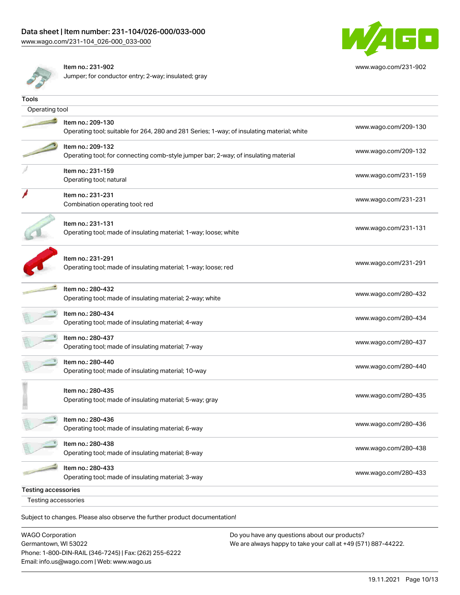

[www.wago.com/231-902](http://www.wago.com/231-902)

Item no.: 231-902

Jumper; for conductor entry; 2-way; insulated; gray

| Tools                      |                                                                                                                 |                      |  |
|----------------------------|-----------------------------------------------------------------------------------------------------------------|----------------------|--|
| Operating tool             |                                                                                                                 |                      |  |
|                            | Item no.: 209-130<br>Operating tool; suitable for 264, 280 and 281 Series; 1-way; of insulating material; white | www.wago.com/209-130 |  |
|                            | Item no.: 209-132<br>Operating tool; for connecting comb-style jumper bar; 2-way; of insulating material        | www.wago.com/209-132 |  |
|                            | Item no.: 231-159<br>Operating tool; natural                                                                    | www.wago.com/231-159 |  |
|                            | Item no.: 231-231<br>Combination operating tool; red                                                            | www.wago.com/231-231 |  |
|                            | Item no.: 231-131<br>Operating tool; made of insulating material; 1-way; loose; white                           | www.wago.com/231-131 |  |
|                            | Item no.: 231-291<br>Operating tool; made of insulating material; 1-way; loose; red                             | www.wago.com/231-291 |  |
|                            | Item no.: 280-432<br>Operating tool; made of insulating material; 2-way; white                                  | www.wago.com/280-432 |  |
|                            | Item no.: 280-434<br>Operating tool; made of insulating material; 4-way                                         | www.wago.com/280-434 |  |
|                            | Item no.: 280-437<br>Operating tool; made of insulating material; 7-way                                         | www.wago.com/280-437 |  |
|                            | Item no.: 280-440<br>Operating tool; made of insulating material; 10-way                                        | www.wago.com/280-440 |  |
|                            | Item no.: 280-435<br>Operating tool; made of insulating material; 5-way; gray                                   | www.wago.com/280-435 |  |
|                            | Item no.: 280-436<br>Operating tool; made of insulating material; 6-way                                         | www.wago.com/280-436 |  |
|                            | Item no.: 280-438<br>Operating tool; made of insulating material; 8-way                                         | www.wago.com/280-438 |  |
|                            | Item no.: 280-433<br>Operating tool; made of insulating material; 3-way                                         | www.wago.com/280-433 |  |
| <b>Testing accessories</b> |                                                                                                                 |                      |  |
| Testing accessories        |                                                                                                                 |                      |  |
|                            | Subject to changes. Please also observe the further product documentation!                                      |                      |  |

WAGO Corporation Germantown, WI 53022 Phone: 1-800-DIN-RAIL (346-7245) | Fax: (262) 255-6222 Email: info.us@wago.com | Web: www.wago.us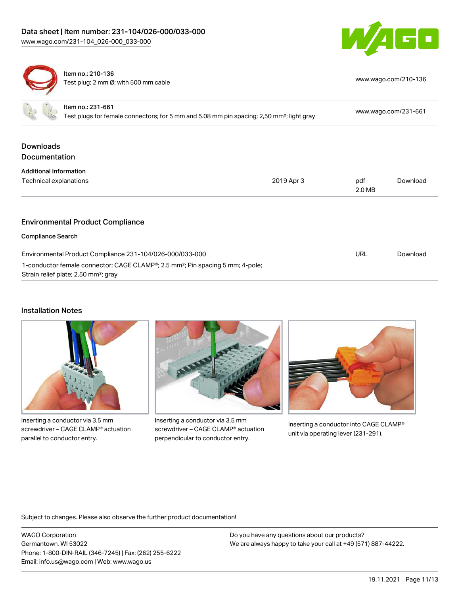



Item no.: 210-136 Test plug; 2 mm Ø; with 500 mm cable [www.wago.com/210-136](http://www.wago.com/210-136)

| Item no.: 231-661                                                                                                                                           | Test plugs for female connectors; for 5 mm and 5.08 mm pin spacing; 2,50 mm <sup>2</sup> ; light gray |               | www.wago.com/231-661 |  |
|-------------------------------------------------------------------------------------------------------------------------------------------------------------|-------------------------------------------------------------------------------------------------------|---------------|----------------------|--|
| <b>Downloads</b><br><b>Documentation</b>                                                                                                                    |                                                                                                       |               |                      |  |
| <b>Additional Information</b>                                                                                                                               |                                                                                                       |               |                      |  |
| Technical explanations                                                                                                                                      | 2019 Apr 3                                                                                            | pdf<br>2.0 MB | Download             |  |
| <b>Environmental Product Compliance</b>                                                                                                                     |                                                                                                       |               |                      |  |
| <b>Compliance Search</b>                                                                                                                                    |                                                                                                       |               |                      |  |
| Environmental Product Compliance 231-104/026-000/033-000                                                                                                    |                                                                                                       | URL           | Download             |  |
| 1-conductor female connector; CAGE CLAMP <sup>®</sup> ; 2.5 mm <sup>2</sup> ; Pin spacing 5 mm; 4-pole;<br>Strain relief plate; 2,50 mm <sup>2</sup> ; gray |                                                                                                       |               |                      |  |

#### Installation Notes



Inserting a conductor via 3.5 mm screwdriver – CAGE CLAMP® actuation parallel to conductor entry.



Inserting a conductor via 3.5 mm screwdriver – CAGE CLAMP® actuation perpendicular to conductor entry.



Inserting a conductor into CAGE CLAMP® unit via operating lever (231-291).

Subject to changes. Please also observe the further product documentation!

WAGO Corporation Germantown, WI 53022 Phone: 1-800-DIN-RAIL (346-7245) | Fax: (262) 255-6222 Email: info.us@wago.com | Web: www.wago.us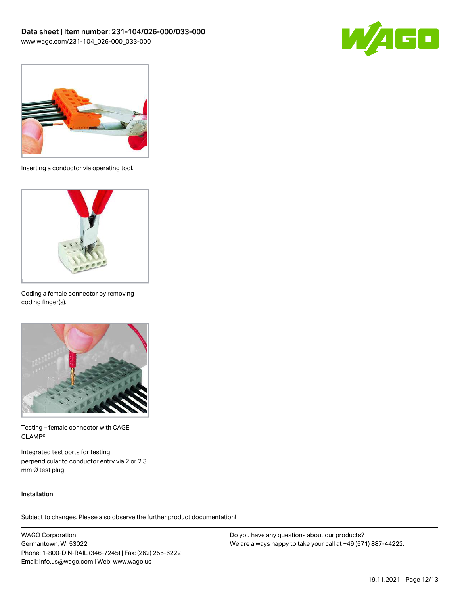



Inserting a conductor via operating tool.



Coding a female connector by removing coding finger(s).



Testing – female connector with CAGE CLAMP®

Integrated test ports for testing perpendicular to conductor entry via 2 or 2.3 mm Ø test plug

#### Installation

Subject to changes. Please also observe the further product documentation!

WAGO Corporation Germantown, WI 53022 Phone: 1-800-DIN-RAIL (346-7245) | Fax: (262) 255-6222 Email: info.us@wago.com | Web: www.wago.us